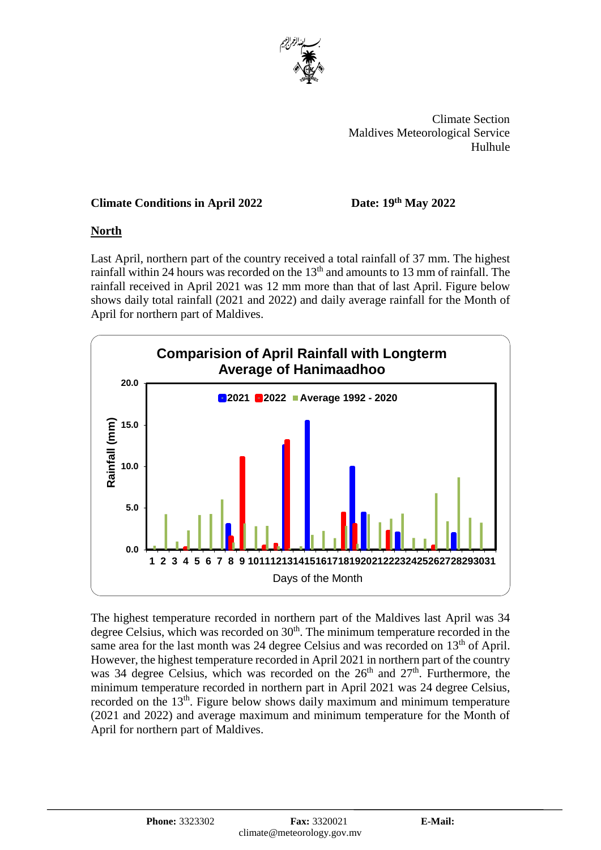

 Climate Section Maldives Meteorological Service Hulhule

# **Climate Conditions in April 2022**

### **th May 2022**

## **North**

Last April, northern part of the country received a total rainfall of 37 mm. The highest rainfall within 24 hours was recorded on the 13<sup>th</sup> and amounts to 13 mm of rainfall. The rainfall received in April 2021 was 12 mm more than that of last April. Figure below shows daily total rainfall (2021 and 2022) and daily average rainfall for the Month of April for northern part of Maldives.



The highest temperature recorded in northern part of the Maldives last April was 34 degree Celsius, which was recorded on  $30<sup>th</sup>$ . The minimum temperature recorded in the same area for the last month was 24 degree Celsius and was recorded on 13<sup>th</sup> of April. However, the highest temperature recorded in April 2021 in northern part of the country was 34 degree Celsius, which was recorded on the  $26<sup>th</sup>$  and  $27<sup>th</sup>$ . Furthermore, the minimum temperature recorded in northern part in April 2021 was 24 degree Celsius, recorded on the 13<sup>th</sup>. Figure below shows daily maximum and minimum temperature (2021 and 2022) and average maximum and minimum temperature for the Month of April for northern part of Maldives.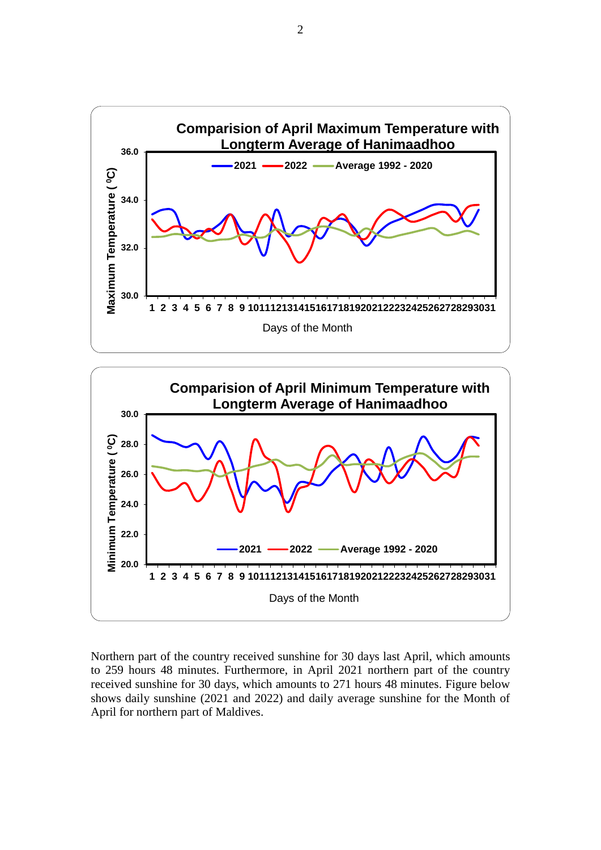



Northern part of the country received sunshine for 30 days last April, which amounts to 259 hours 48 minutes. Furthermore, in April 2021 northern part of the country received sunshine for 30 days, which amounts to 271 hours 48 minutes. Figure below shows daily sunshine (2021 and 2022) and daily average sunshine for the Month of April for northern part of Maldives.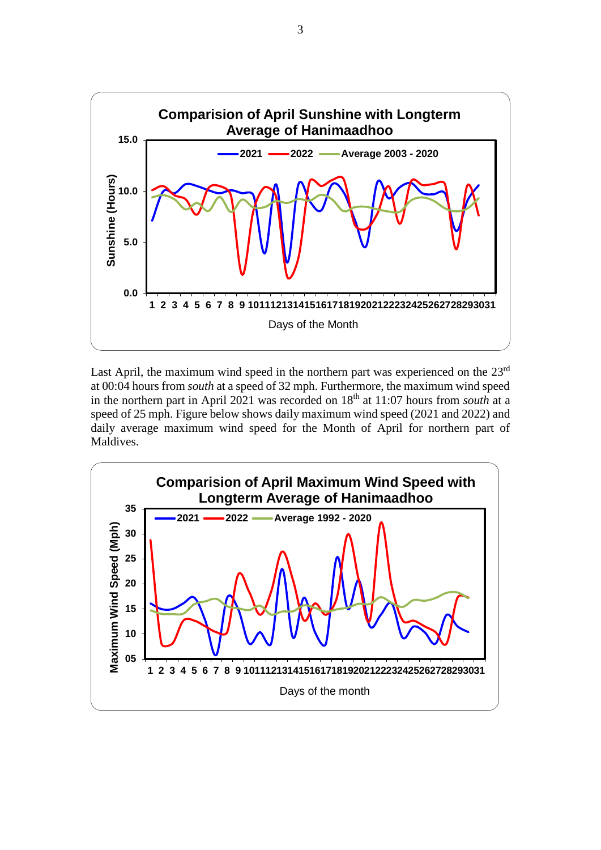

Last April, the maximum wind speed in the northern part was experienced on the 23<sup>rd</sup> at 00:04 hours from *south* at a speed of 32 mph. Furthermore, the maximum wind speed in the northern part in April 2021 was recorded on 18<sup>th</sup> at 11:07 hours from *south* at a speed of 25 mph. Figure below shows daily maximum wind speed (2021 and 2022) and daily average maximum wind speed for the Month of April for northern part of Maldives.

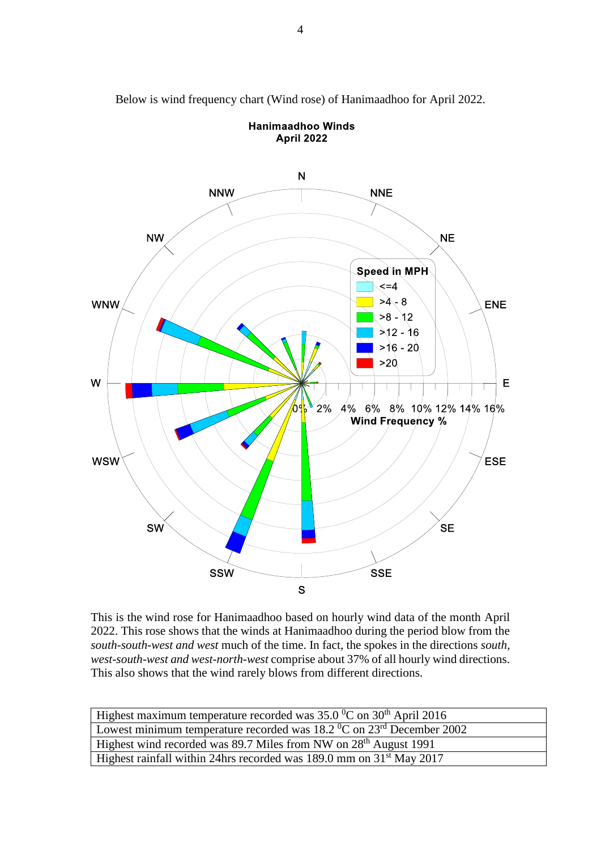

Below is wind frequency chart (Wind rose) of Hanimaadhoo for April 2022.

**Hanimaadhoo Winds April 2022** 

This is the wind rose for Hanimaadhoo based on hourly wind data of the month April 2022. This rose shows that the winds at Hanimaadhoo during the period blow from the *south-south-west and west* much of the time. In fact, the spokes in the directions *south, west-south-west and west-north-west* comprise about 37% of all hourly wind directions. This also shows that the wind rarely blows from different directions.

| Highest maximum temperature recorded was $35.0\,^0$ C on $30^{th}$ April 2016             |
|-------------------------------------------------------------------------------------------|
| Lowest minimum temperature recorded was $18.2\degree$ C on $23^{\text{rd}}$ December 2002 |
| Highest wind recorded was 89.7 Miles from NW on 28 <sup>th</sup> August 1991              |
| Highest rainfall within 24hrs recorded was 189.0 mm on $31st$ May 2017                    |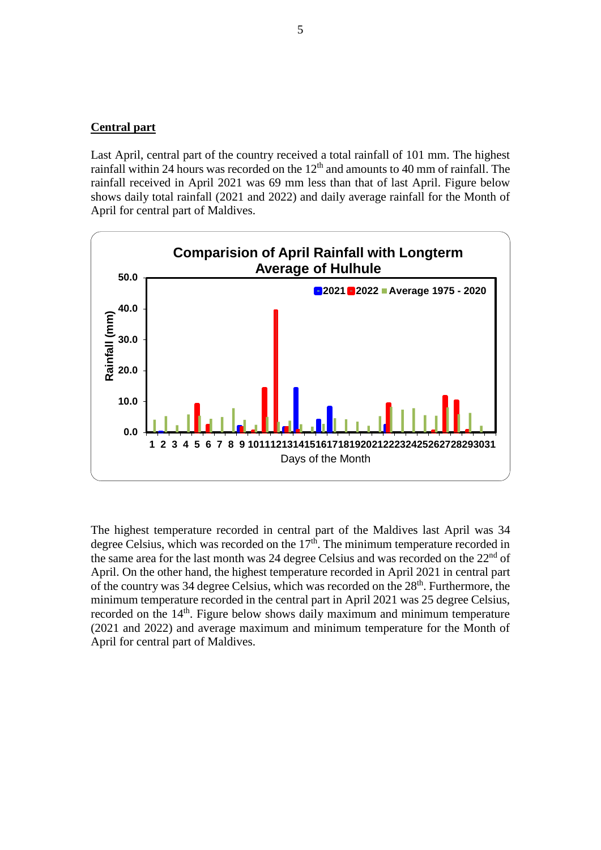#### **Central part**

Last April, central part of the country received a total rainfall of 101 mm. The highest rainfall within 24 hours was recorded on the 12<sup>th</sup> and amounts to 40 mm of rainfall. The rainfall received in April 2021 was 69 mm less than that of last April. Figure below shows daily total rainfall (2021 and 2022) and daily average rainfall for the Month of April for central part of Maldives.



The highest temperature recorded in central part of the Maldives last April was 34 degree Celsius, which was recorded on the  $17<sup>th</sup>$ . The minimum temperature recorded in the same area for the last month was 24 degree Celsius and was recorded on the  $22<sup>nd</sup>$  of April. On the other hand, the highest temperature recorded in April 2021 in central part of the country was 34 degree Celsius, which was recorded on the 28<sup>th</sup>. Furthermore, the minimum temperature recorded in the central part in April 2021 was 25 degree Celsius, recorded on the 14<sup>th</sup>. Figure below shows daily maximum and minimum temperature (2021 and 2022) and average maximum and minimum temperature for the Month of April for central part of Maldives.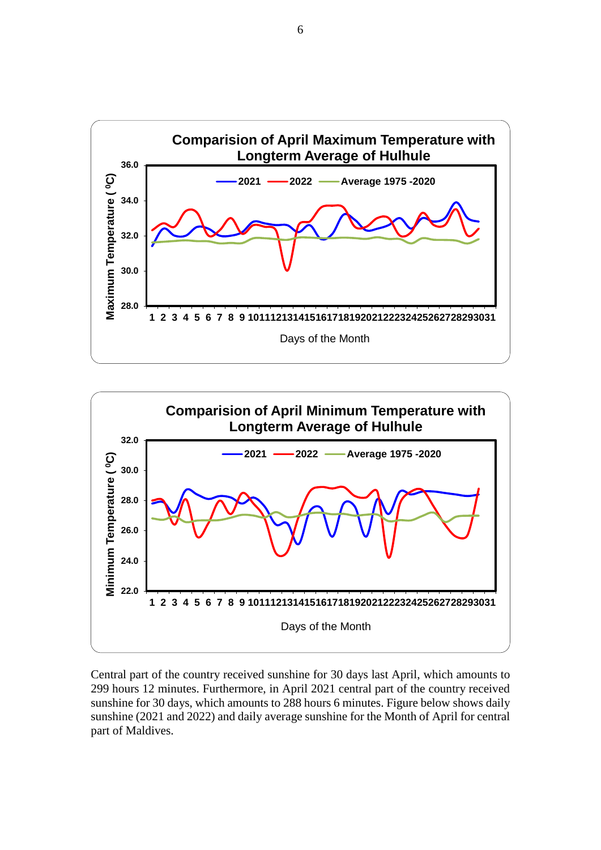



Central part of the country received sunshine for 30 days last April, which amounts to 299 hours 12 minutes. Furthermore, in April 2021 central part of the country received sunshine for 30 days, which amounts to 288 hours 6 minutes. Figure below shows daily sunshine (2021 and 2022) and daily average sunshine for the Month of April for central part of Maldives.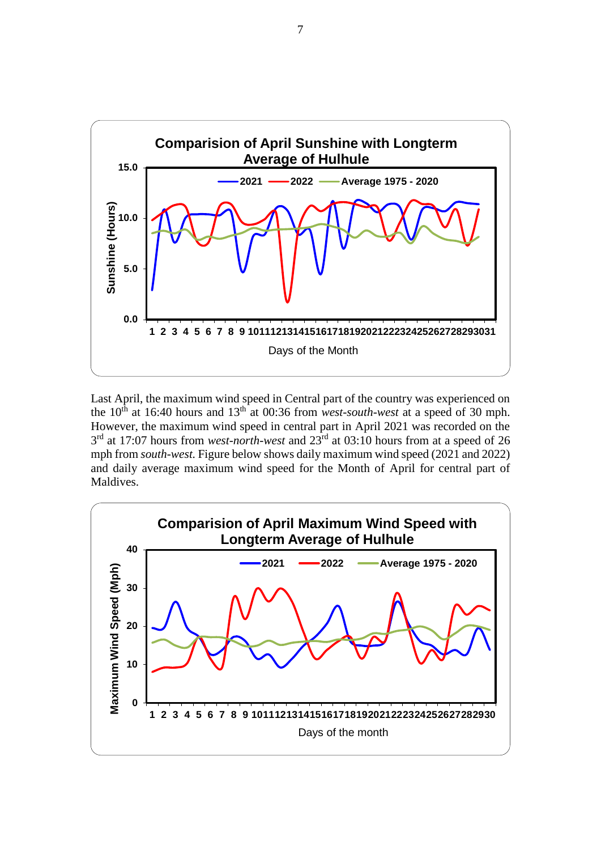

Last April, the maximum wind speed in Central part of the country was experienced on the  $10<sup>th</sup>$  at 16:40 hours and  $13<sup>th</sup>$  at 00:36 from *west-south-west* at a speed of 30 mph. However, the maximum wind speed in central part in April 2021 was recorded on the 3 rd at 17:07 hours from *west-north-west* and 23rd at 03:10 hours from at a speed of 26 mph from *south-west.* Figure below shows daily maximum wind speed (2021 and 2022) and daily average maximum wind speed for the Month of April for central part of Maldives.

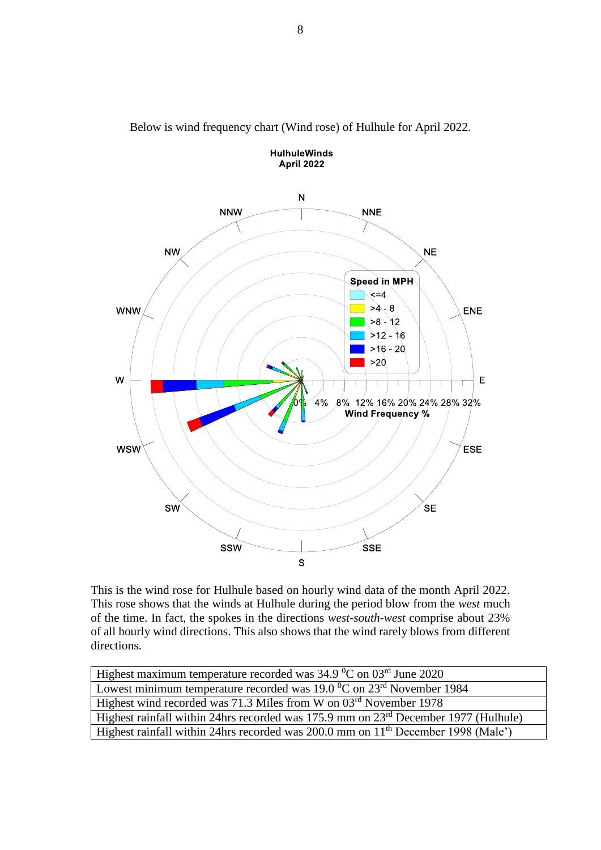

Below is wind frequency chart (Wind rose) of Hulhule for April 2022.

**HulhuleWinds** 

This is the wind rose for Hulhule based on hourly wind data of the month April 2022. This rose shows that the winds at Hulhule during the period blow from the *west* much of the time. In fact, the spokes in the directions *west-south-west* comprise about 23% of all hourly wind directions. This also shows that the wind rarely blows from different directions.

| Highest maximum temperature recorded was $34.9\,^0$ C on $03^{\text{rd}}$ June $2020$              |
|----------------------------------------------------------------------------------------------------|
| Lowest minimum temperature recorded was $19.0\,^{\circ}\text{C}$ on $23^{\text{rd}}$ November 1984 |
| Highest wind recorded was 71.3 Miles from W on 03rd November 1978                                  |
| Highest rainfall within 24hrs recorded was 175.9 mm on 23 <sup>rd</sup> December 1977 (Hulhule)    |
| Highest rainfall within 24hrs recorded was 200.0 mm on 11 <sup>th</sup> December 1998 (Male')      |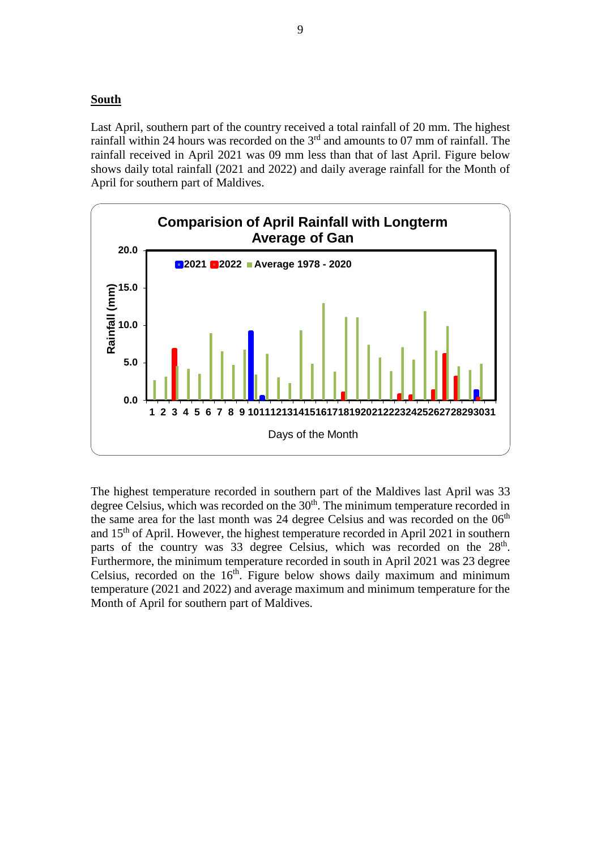#### **South**

Last April, southern part of the country received a total rainfall of 20 mm. The highest rainfall within 24 hours was recorded on the  $3<sup>rd</sup>$  and amounts to 07 mm of rainfall. The rainfall received in April 2021 was 09 mm less than that of last April. Figure below shows daily total rainfall (2021 and 2022) and daily average rainfall for the Month of April for southern part of Maldives.



The highest temperature recorded in southern part of the Maldives last April was 33 degree Celsius, which was recorded on the 30<sup>th</sup>. The minimum temperature recorded in the same area for the last month was 24 degree Celsius and was recorded on the  $06<sup>th</sup>$ and 15<sup>th</sup> of April. However, the highest temperature recorded in April 2021 in southern parts of the country was 33 degree Celsius, which was recorded on the 28<sup>th</sup>. Furthermore, the minimum temperature recorded in south in April 2021 was 23 degree Celsius, recorded on the  $16<sup>th</sup>$ . Figure below shows daily maximum and minimum temperature (2021 and 2022) and average maximum and minimum temperature for the Month of April for southern part of Maldives.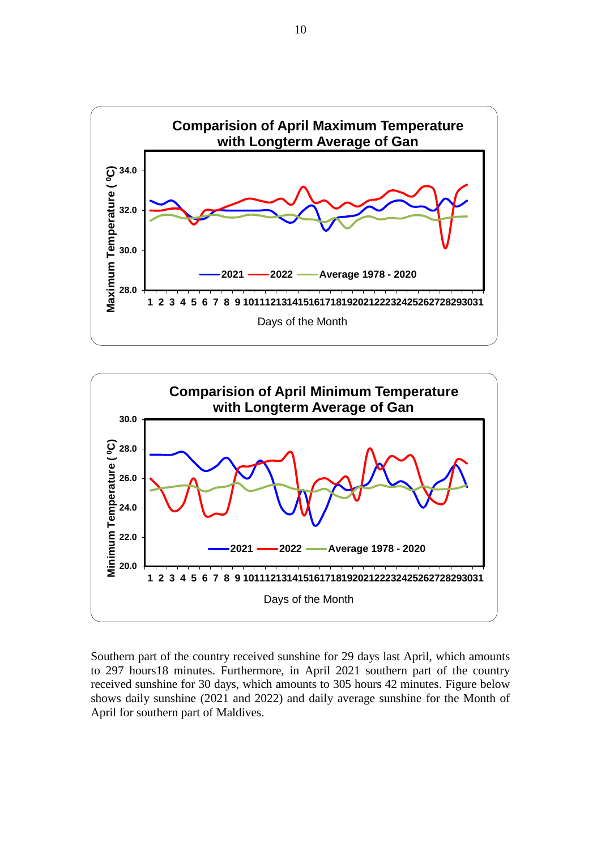



Southern part of the country received sunshine for 29 days last April, which amounts to 297 hours18 minutes. Furthermore, in April 2021 southern part of the country received sunshine for 30 days, which amounts to 305 hours 42 minutes. Figure below shows daily sunshine (2021 and 2022) and daily average sunshine for the Month of April for southern part of Maldives.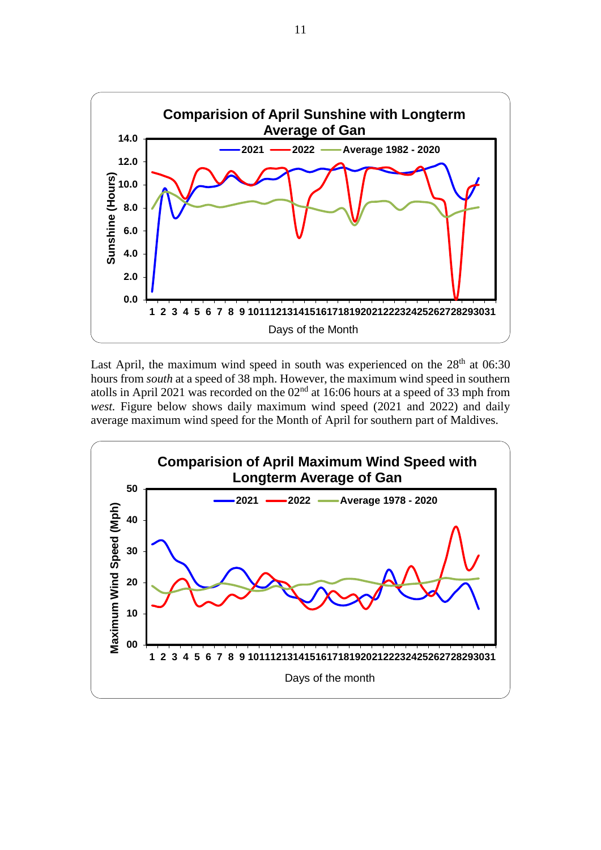

Last April, the maximum wind speed in south was experienced on the  $28<sup>th</sup>$  at 06:30 hours from *south* at a speed of 38 mph. However, the maximum wind speed in southern atolls in April 2021 was recorded on the  $02<sup>nd</sup>$  at 16:06 hours at a speed of 33 mph from *west.* Figure below shows daily maximum wind speed (2021 and 2022) and daily average maximum wind speed for the Month of April for southern part of Maldives.